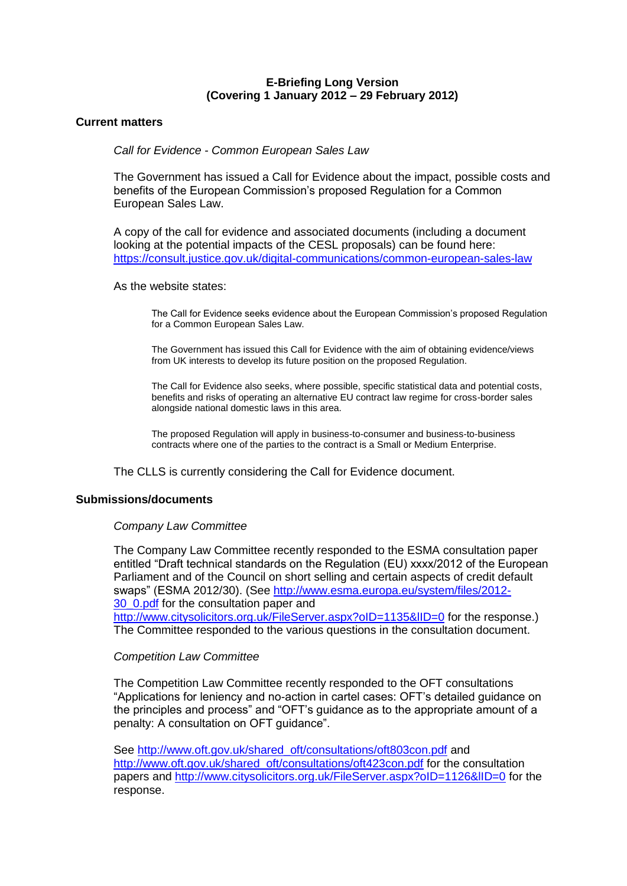# **E-Briefing Long Version (Covering 1 January 2012 – 29 February 2012)**

# **Current matters**

*Call for Evidence - Common European Sales Law*

The Government has issued a Call for Evidence about the impact, possible costs and benefits of the European Commission's proposed Regulation for a Common European Sales Law.

A copy of the call for evidence and associated documents (including a document looking at the potential impacts of the CESL proposals) can be found here: [https://consult.justice.gov.uk/digital-communications/common-european-sales-law](https://outlook.hostedservice2.net/owa/redir.aspx?C=66374c0d903a4c5c95d1dca34bc934a0&URL=https%3a%2f%2fconsult.justice.gov.uk%2fdigital-communications%2fcommon-european-sales-law)

As the website states:

The Call for Evidence seeks evidence about the European Commission's proposed Regulation for a Common European Sales Law.

The Government has issued this Call for Evidence with the aim of obtaining evidence/views from UK interests to develop its future position on the proposed Regulation.

The Call for Evidence also seeks, where possible, specific statistical data and potential costs, benefits and risks of operating an alternative EU contract law regime for cross-border sales alongside national domestic laws in this area.

The proposed Regulation will apply in business-to-consumer and business-to-business contracts where one of the parties to the contract is a Small or Medium Enterprise.

The CLLS is currently considering the Call for Evidence document.

## **Submissions/documents**

#### *Company Law Committee*

The Company Law Committee recently responded to the ESMA consultation paper entitled "Draft technical standards on the Regulation (EU) xxxx/2012 of the European Parliament and of the Council on short selling and certain aspects of credit default swaps" (ESMA 2012/30). (See [http://www.esma.europa.eu/system/files/2012-](http://www.esma.europa.eu/system/files/2012-30_0.pdf) [30\\_0.pdf](http://www.esma.europa.eu/system/files/2012-30_0.pdf) for the consultation paper and

http://www.citysolicitors.org.uk/FileServer.aspx?oID=1135&IID=0 for the response.) The Committee responded to the various questions in the consultation document.

## *Competition Law Committee*

The Competition Law Committee recently responded to the OFT consultations "Applications for leniency and no-action in cartel cases: OFT's detailed guidance on the principles and process" and "OFT's guidance as to the appropriate amount of a penalty: A consultation on OFT guidance".

See [http://www.oft.gov.uk/shared\\_oft/consultations/oft803con.pdf](http://www.oft.gov.uk/shared_oft/consultations/oft803con.pdf) and [http://www.oft.gov.uk/shared\\_oft/consultations/oft423con.pdf](http://www.oft.gov.uk/shared_oft/consultations/oft423con.pdf) for the consultation papers and<http://www.citysolicitors.org.uk/FileServer.aspx?oID=1126&lID=0> for the response.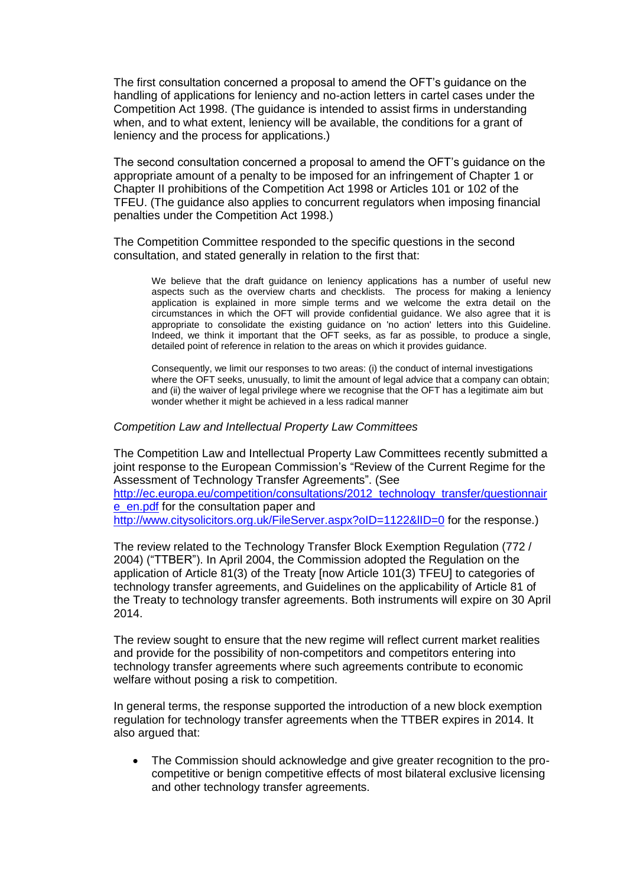The first consultation concerned a proposal to amend the OFT's guidance on the handling of applications for leniency and no-action letters in cartel cases under the Competition Act 1998. (The guidance is intended to assist firms in understanding when, and to what extent, leniency will be available, the conditions for a grant of leniency and the process for applications.)

The second consultation concerned a proposal to amend the OFT's guidance on the appropriate amount of a penalty to be imposed for an infringement of Chapter 1 or Chapter II prohibitions of the Competition Act 1998 or Articles 101 or 102 of the TFEU. (The guidance also applies to concurrent regulators when imposing financial penalties under the Competition Act 1998.)

The Competition Committee responded to the specific questions in the second consultation, and stated generally in relation to the first that:

We believe that the draft guidance on leniency applications has a number of useful new aspects such as the overview charts and checklists. The process for making a leniency application is explained in more simple terms and we welcome the extra detail on the circumstances in which the OFT will provide confidential guidance. We also agree that it is appropriate to consolidate the existing guidance on 'no action' letters into this Guideline. Indeed, we think it important that the OFT seeks, as far as possible, to produce a single, detailed point of reference in relation to the areas on which it provides guidance.

Consequently, we limit our responses to two areas: (i) the conduct of internal investigations where the OFT seeks, unusually, to limit the amount of legal advice that a company can obtain; and (ii) the waiver of legal privilege where we recognise that the OFT has a legitimate aim but wonder whether it might be achieved in a less radical manner

## *Competition Law and Intellectual Property Law Committees*

The Competition Law and Intellectual Property Law Committees recently submitted a joint response to the European Commission's "Review of the Current Regime for the Assessment of Technology Transfer Agreements". (See [http://ec.europa.eu/competition/consultations/2012\\_technology\\_transfer/questionnair](http://ec.europa.eu/competition/consultations/2012_technology_transfer/questionnaire_en.pdf) [e\\_en.pdf](http://ec.europa.eu/competition/consultations/2012_technology_transfer/questionnaire_en.pdf) for the consultation paper and http://www.citysolicitors.org.uk/FileServer.aspx?oID=1122&IID=0 for the response.)

The review related to the Technology Transfer Block Exemption Regulation (772 / 2004) ("TTBER"). In April 2004, the Commission adopted the Regulation on the application of Article 81(3) of the Treaty [now Article 101(3) TFEU] to categories of technology transfer agreements, and Guidelines on the applicability of Article 81 of the Treaty to technology transfer agreements. Both instruments will expire on 30 April 2014.

The review sought to ensure that the new regime will reflect current market realities and provide for the possibility of non-competitors and competitors entering into technology transfer agreements where such agreements contribute to economic welfare without posing a risk to competition.

In general terms, the response supported the introduction of a new block exemption regulation for technology transfer agreements when the TTBER expires in 2014. It also argued that:

 The Commission should acknowledge and give greater recognition to the procompetitive or benign competitive effects of most bilateral exclusive licensing and other technology transfer agreements.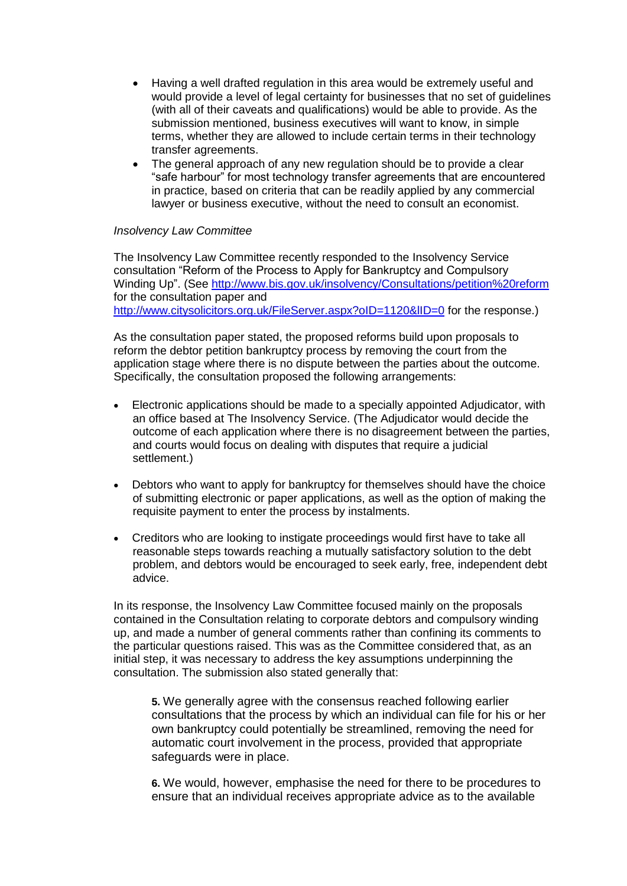- Having a well drafted regulation in this area would be extremely useful and would provide a level of legal certainty for businesses that no set of guidelines (with all of their caveats and qualifications) would be able to provide. As the submission mentioned, business executives will want to know, in simple terms, whether they are allowed to include certain terms in their technology transfer agreements.
- The general approach of any new regulation should be to provide a clear "safe harbour" for most technology transfer agreements that are encountered in practice, based on criteria that can be readily applied by any commercial lawyer or business executive, without the need to consult an economist.

# *Insolvency Law Committee*

The Insolvency Law Committee recently responded to the Insolvency Service consultation "Reform of the Process to Apply for Bankruptcy and Compulsory Winding Up". (See<http://www.bis.gov.uk/insolvency/Consultations/petition%20reform> for the consultation paper and http://www.citysolicitors.org.uk/FileServer.aspx?oID=1120&IID=0 for the response.)

As the consultation paper stated, the proposed reforms build upon proposals to reform the debtor petition bankruptcy process by removing the court from the application stage where there is no dispute between the parties about the outcome. Specifically, the consultation proposed the following arrangements:

- Electronic applications should be made to a specially appointed Adjudicator, with an office based at The Insolvency Service. (The Adjudicator would decide the outcome of each application where there is no disagreement between the parties, and courts would focus on dealing with disputes that require a judicial settlement.)
- Debtors who want to apply for bankruptcy for themselves should have the choice of submitting electronic or paper applications, as well as the option of making the requisite payment to enter the process by instalments.
- Creditors who are looking to instigate proceedings would first have to take all reasonable steps towards reaching a mutually satisfactory solution to the debt problem, and debtors would be encouraged to seek early, free, independent debt advice.

In its response, the Insolvency Law Committee focused mainly on the proposals contained in the Consultation relating to corporate debtors and compulsory winding up, and made a number of general comments rather than confining its comments to the particular questions raised. This was as the Committee considered that, as an initial step, it was necessary to address the key assumptions underpinning the consultation. The submission also stated generally that:

**5.** We generally agree with the consensus reached following earlier consultations that the process by which an individual can file for his or her own bankruptcy could potentially be streamlined, removing the need for automatic court involvement in the process, provided that appropriate safeguards were in place.

**6.** We would, however, emphasise the need for there to be procedures to ensure that an individual receives appropriate advice as to the available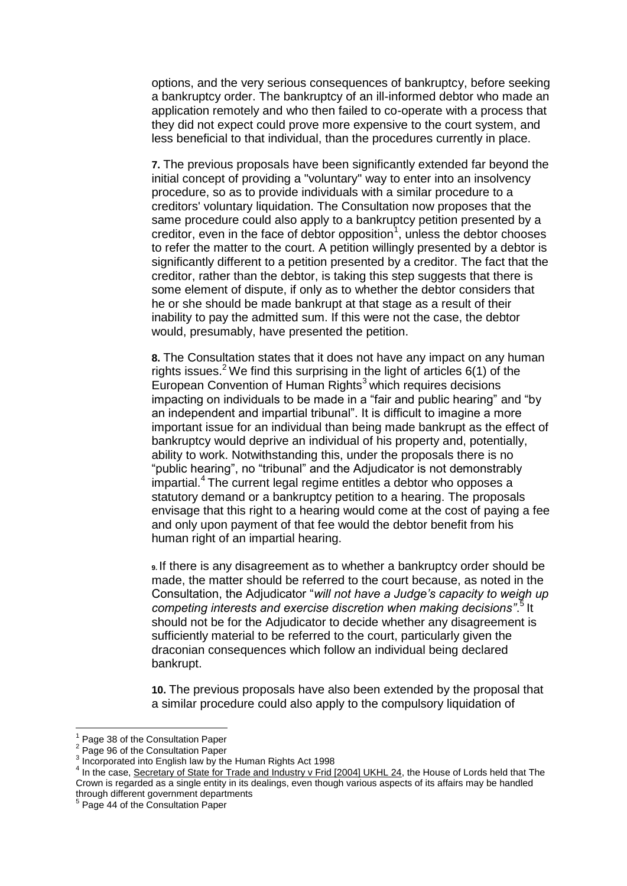options, and the very serious consequences of bankruptcy, before seeking a bankruptcy order. The bankruptcy of an ill-informed debtor who made an application remotely and who then failed to co-operate with a process that they did not expect could prove more expensive to the court system, and less beneficial to that individual, than the procedures currently in place.

**7.** The previous proposals have been significantly extended far beyond the initial concept of providing a "voluntary" way to enter into an insolvency procedure, so as to provide individuals with a similar procedure to a creditors' voluntary liquidation. The Consultation now proposes that the same procedure could also apply to a bankruptcy petition presented by a creditor, even in the face of debtor opposition<sup>1</sup>, unless the debtor chooses to refer the matter to the court. A petition willingly presented by a debtor is significantly different to a petition presented by a creditor. The fact that the creditor, rather than the debtor, is taking this step suggests that there is some element of dispute, if only as to whether the debtor considers that he or she should be made bankrupt at that stage as a result of their inability to pay the admitted sum. If this were not the case, the debtor would, presumably, have presented the petition.

**8.** The Consultation states that it does not have any impact on any human rights issues.<sup>2</sup> We find this surprising in the light of articles  $6(1)$  of the European Convention of Human Rights $3$  which requires decisions impacting on individuals to be made in a "fair and public hearing" and "by an independent and impartial tribunal". It is difficult to imagine a more important issue for an individual than being made bankrupt as the effect of bankruptcy would deprive an individual of his property and, potentially, ability to work. Notwithstanding this, under the proposals there is no "public hearing", no "tribunal" and the Adjudicator is not demonstrably impartial.<sup>4</sup> The current legal regime entitles a debtor who opposes a statutory demand or a bankruptcy petition to a hearing. The proposals envisage that this right to a hearing would come at the cost of paying a fee and only upon payment of that fee would the debtor benefit from his human right of an impartial hearing.

**9.** If there is any disagreement as to whether a bankruptcy order should be made, the matter should be referred to the court because, as noted in the Consultation, the Adjudicator "*will not have a Judge's capacity to weigh up competing interests and exercise discretion when making decisions"*. 5 It should not be for the Adjudicator to decide whether any disagreement is sufficiently material to be referred to the court, particularly given the draconian consequences which follow an individual being declared bankrupt.

**10.** The previous proposals have also been extended by the proposal that a similar procedure could also apply to the compulsory liquidation of

<u>.</u>

<sup>1</sup> Page 38 of the Consultation Paper 2

Page 96 of the Consultation Paper

<sup>&</sup>lt;sup>3</sup> Incorporated into English law by the Human Rights Act 1998<br> $\frac{4}{1}$  In the case. Secretary of State for Trade and Industry V Frid

In the case, Secretary of State for Trade and Industry v Frid [2004] UKHL 24, the House of Lords held that The Crown is regarded as a single entity in its dealings, even though various aspects of its affairs may be handled through different government departments<br><sup>5</sup> Page 44 of the Canaultation Paner

Page 44 of the Consultation Paper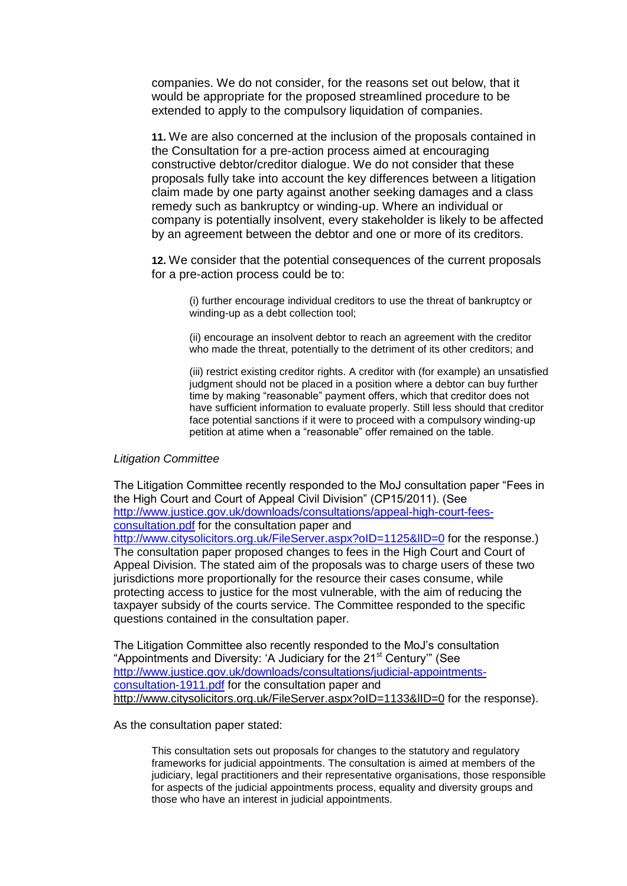companies. We do not consider, for the reasons set out below, that it would be appropriate for the proposed streamlined procedure to be extended to apply to the compulsory liquidation of companies.

**11.** We are also concerned at the inclusion of the proposals contained in the Consultation for a pre-action process aimed at encouraging constructive debtor/creditor dialogue. We do not consider that these proposals fully take into account the key differences between a litigation claim made by one party against another seeking damages and a class remedy such as bankruptcy or winding-up. Where an individual or company is potentially insolvent, every stakeholder is likely to be affected by an agreement between the debtor and one or more of its creditors.

**12.** We consider that the potential consequences of the current proposals for a pre-action process could be to:

(i) further encourage individual creditors to use the threat of bankruptcy or winding-up as a debt collection tool;

(ii) encourage an insolvent debtor to reach an agreement with the creditor who made the threat, potentially to the detriment of its other creditors; and

(iii) restrict existing creditor rights. A creditor with (for example) an unsatisfied judgment should not be placed in a position where a debtor can buy further time by making "reasonable" payment offers, which that creditor does not have sufficient information to evaluate properly. Still less should that creditor face potential sanctions if it were to proceed with a compulsory winding-up petition at atime when a "reasonable" offer remained on the table.

#### *Litigation Committee*

The Litigation Committee recently responded to the MoJ consultation paper "Fees in the High Court and Court of Appeal Civil Division" (CP15/2011). (See [http://www.justice.gov.uk/downloads/consultations/appeal-high-court-fees](http://www.justice.gov.uk/downloads/consultations/appeal-high-court-fees-consultation.pdf)[consultation.pdf](http://www.justice.gov.uk/downloads/consultations/appeal-high-court-fees-consultation.pdf) for the consultation paper and http://www.citysolicitors.org.uk/FileServer.aspx?oID=1125&IID=0 for the response.) The consultation paper proposed changes to fees in the High Court and Court of Appeal Division. The stated aim of the proposals was to charge users of these two jurisdictions more proportionally for the resource their cases consume, while protecting access to justice for the most vulnerable, with the aim of reducing the taxpayer subsidy of the courts service. The Committee responded to the specific questions contained in the consultation paper.

The Litigation Committee also recently responded to the MoJ's consultation "Appointments and Diversity: 'A Judiciary for the 21<sup>st</sup> Century'" (See [http://www.justice.gov.uk/downloads/consultations/judicial-appointments](http://www.justice.gov.uk/downloads/consultations/judicial-appointments-consultation-1911.pdf)[consultation-1911.pdf](http://www.justice.gov.uk/downloads/consultations/judicial-appointments-consultation-1911.pdf) for the consultation paper and http://www.citysolicitors.org.uk/FileServer.aspx?oID=1133&IID=0 for the response).

As the consultation paper stated:

This consultation sets out proposals for changes to the statutory and regulatory frameworks for judicial appointments. The consultation is aimed at members of the judiciary, legal practitioners and their representative organisations, those responsible for aspects of the judicial appointments process, equality and diversity groups and those who have an interest in judicial appointments.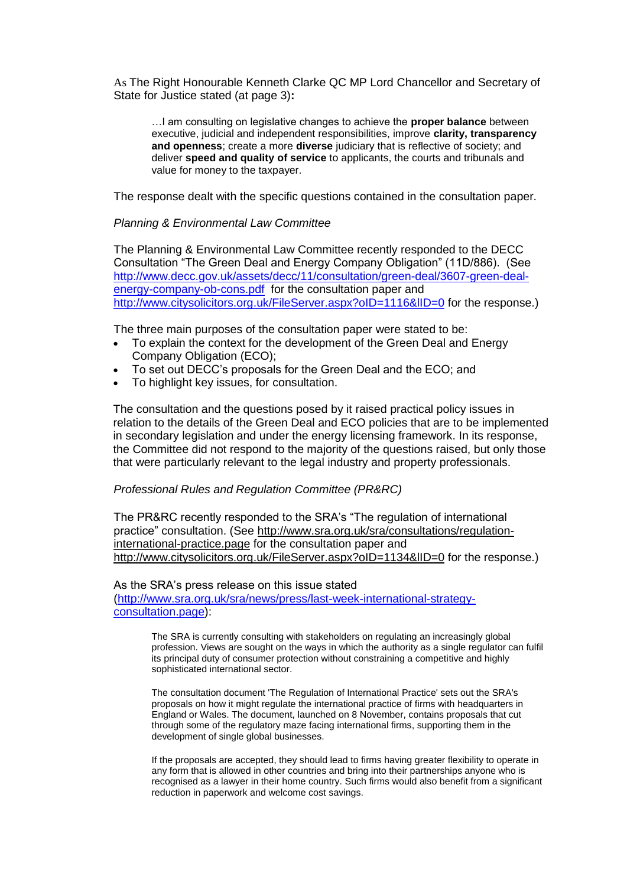As The Right Honourable Kenneth Clarke QC MP Lord Chancellor and Secretary of State for Justice stated (at page 3)**:**

…I am consulting on legislative changes to achieve the **proper balance** between executive, judicial and independent responsibilities, improve **clarity, transparency and openness**; create a more **diverse** judiciary that is reflective of society; and deliver **speed and quality of service** to applicants, the courts and tribunals and value for money to the taxpayer.

The response dealt with the specific questions contained in the consultation paper.

## *Planning & Environmental Law Committee*

The Planning & Environmental Law Committee recently responded to the DECC Consultation "The Green Deal and Energy Company Obligation" (11D/886). (See [http://www.decc.gov.uk/assets/decc/11/consultation/green-deal/3607-green-deal](http://www.decc.gov.uk/assets/decc/11/consultation/green-deal/3607-green-deal-energy-company-ob-cons.pdf)[energy-company-ob-cons.pdf](http://www.decc.gov.uk/assets/decc/11/consultation/green-deal/3607-green-deal-energy-company-ob-cons.pdf) for the consultation paper and http://www.citysolicitors.org.uk/FileServer.aspx?oID=1116&IID=0 for the response.)

The three main purposes of the consultation paper were stated to be:

- To explain the context for the development of the Green Deal and Energy Company Obligation (ECO);
- To set out DECC's proposals for the Green Deal and the ECO; and
- To highlight key issues, for consultation.

The consultation and the questions posed by it raised practical policy issues in relation to the details of the Green Deal and ECO policies that are to be implemented in secondary legislation and under the energy licensing framework. In its response, the Committee did not respond to the majority of the questions raised, but only those that were particularly relevant to the legal industry and property professionals.

#### *Professional Rules and Regulation Committee (PR&RC)*

The PR&RC recently responded to the SRA's "The regulation of international practice" consultation. (See [http://www.sra.org.uk/sra/consultations/regulation](http://www.sra.org.uk/sra/consultations/regulation-international-practice.page)[international-practice.page](http://www.sra.org.uk/sra/consultations/regulation-international-practice.page) for the consultation paper and http://www.citysolicitors.org.uk/FileServer.aspx?oID=1134&IID=0 for the response.)

As the SRA's press release on this issue stated [\(http://www.sra.org.uk/sra/news/press/last-week-international-strategy](http://www.sra.org.uk/sra/news/press/last-week-international-strategy-consultation.page)[consultation.page\)](http://www.sra.org.uk/sra/news/press/last-week-international-strategy-consultation.page):

> The SRA is currently consulting with stakeholders on regulating an increasingly global profession. Views are sought on the ways in which the authority as a single regulator can fulfil its principal duty of consumer protection without constraining a competitive and highly sophisticated international sector.

The consultation document 'The Regulation of International Practice' sets out the SRA's proposals on how it might regulate the international practice of firms with headquarters in England or Wales. The document, launched on 8 November, contains proposals that cut through some of the regulatory maze facing international firms, supporting them in the development of single global businesses.

If the proposals are accepted, they should lead to firms having greater flexibility to operate in any form that is allowed in other countries and bring into their partnerships anyone who is recognised as a lawyer in their home country. Such firms would also benefit from a significant reduction in paperwork and welcome cost savings.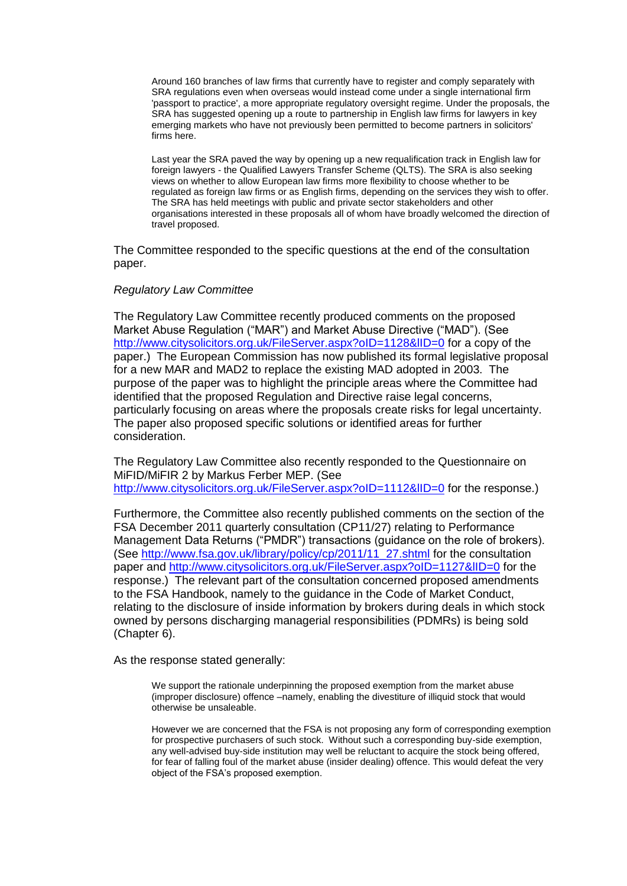Around 160 branches of law firms that currently have to register and comply separately with SRA regulations even when overseas would instead come under a single international firm 'passport to practice', a more appropriate regulatory oversight regime. Under the proposals, the SRA has suggested opening up a route to partnership in English law firms for lawyers in key emerging markets who have not previously been permitted to become partners in solicitors' firms here.

Last year the SRA paved the way by opening up a new requalification track in English law for foreign lawyers - the Qualified Lawyers Transfer Scheme (QLTS). The SRA is also seeking views on whether to allow European law firms more flexibility to choose whether to be regulated as foreign law firms or as English firms, depending on the services they wish to offer. The SRA has held meetings with public and private sector stakeholders and other organisations interested in these proposals all of whom have broadly welcomed the direction of travel proposed.

The Committee responded to the specific questions at the end of the consultation paper.

# *Regulatory Law Committee*

The Regulatory Law Committee recently produced comments on the proposed Market Abuse Regulation ("MAR") and Market Abuse Directive ("MAD"). (See <http://www.citysolicitors.org.uk/FileServer.aspx?oID=1128&lID=0> for a copy of the paper.) The European Commission has now published its formal legislative proposal for a new MAR and MAD2 to replace the existing MAD adopted in 2003. The purpose of the paper was to highlight the principle areas where the Committee had identified that the proposed Regulation and Directive raise legal concerns, particularly focusing on areas where the proposals create risks for legal uncertainty. The paper also proposed specific solutions or identified areas for further consideration.

The Regulatory Law Committee also recently responded to the Questionnaire on MiFID/MiFIR 2 by Markus Ferber MEP. (See http://www.citysolicitors.org.uk/FileServer.aspx?oID=1112&IID=0 for the response.)

Furthermore, the Committee also recently published comments on the section of the FSA December 2011 quarterly consultation (CP11/27) relating to Performance Management Data Returns ("PMDR") transactions (guidance on the role of brokers). (See [http://www.fsa.gov.uk/library/policy/cp/2011/11\\_27.shtml](http://www.fsa.gov.uk/library/policy/cp/2011/11_27.shtml) for the consultation paper and<http://www.citysolicitors.org.uk/FileServer.aspx?oID=1127&lID=0> for the response.) The relevant part of the consultation concerned proposed amendments to the FSA Handbook, namely to the guidance in the Code of Market Conduct, relating to the disclosure of inside information by brokers during deals in which stock owned by persons discharging managerial responsibilities (PDMRs) is being sold (Chapter 6).

As the response stated generally:

We support the rationale underpinning the proposed exemption from the market abuse (improper disclosure) offence –namely, enabling the divestiture of illiquid stock that would otherwise be unsaleable.

However we are concerned that the FSA is not proposing any form of corresponding exemption for prospective purchasers of such stock. Without such a corresponding buy-side exemption, any well-advised buy-side institution may well be reluctant to acquire the stock being offered, for fear of falling foul of the market abuse (insider dealing) offence. This would defeat the very object of the FSA's proposed exemption.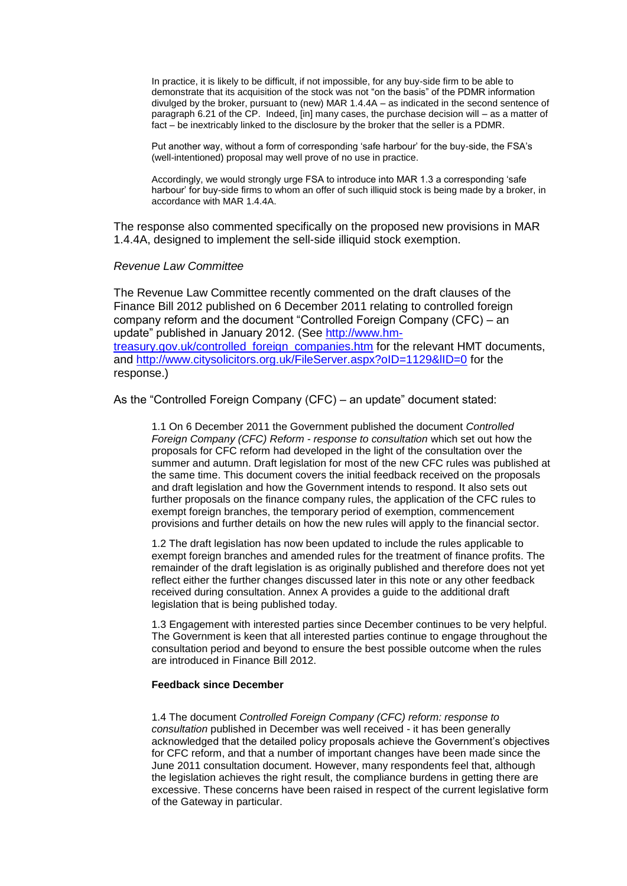In practice, it is likely to be difficult, if not impossible, for any buy-side firm to be able to demonstrate that its acquisition of the stock was not "on the basis" of the PDMR information divulged by the broker, pursuant to (new) MAR 1.4.4A – as indicated in the second sentence of paragraph 6.21 of the CP. Indeed, [in] many cases, the purchase decision will – as a matter of fact – be inextricably linked to the disclosure by the broker that the seller is a PDMR.

Put another way, without a form of corresponding 'safe harbour' for the buy-side, the FSA's (well-intentioned) proposal may well prove of no use in practice.

Accordingly, we would strongly urge FSA to introduce into MAR 1.3 a corresponding 'safe harbour' for buy-side firms to whom an offer of such illiquid stock is being made by a broker, in accordance with MAR 1.4.4A.

The response also commented specifically on the proposed new provisions in MAR 1.4.4A, designed to implement the sell-side illiquid stock exemption.

#### *Revenue Law Committee*

The Revenue Law Committee recently commented on the draft clauses of the Finance Bill 2012 published on 6 December 2011 relating to controlled foreign company reform and the document "Controlled Foreign Company (CFC) – an update" published in January 2012. (See [http://www.hm](http://www.hm-treasury.gov.uk/controlled_foreign_companies.htm)[treasury.gov.uk/controlled\\_foreign\\_companies.htm](http://www.hm-treasury.gov.uk/controlled_foreign_companies.htm) for the relevant HMT documents, and<http://www.citysolicitors.org.uk/FileServer.aspx?oID=1129&lID=0> for the response.)

As the "Controlled Foreign Company (CFC) – an update" document stated:

1.1 On 6 December 2011 the Government published the document *Controlled Foreign Company (CFC) Reform - response to consultation* which set out how the proposals for CFC reform had developed in the light of the consultation over the summer and autumn. Draft legislation for most of the new CFC rules was published at the same time. This document covers the initial feedback received on the proposals and draft legislation and how the Government intends to respond. It also sets out further proposals on the finance company rules, the application of the CFC rules to exempt foreign branches, the temporary period of exemption, commencement provisions and further details on how the new rules will apply to the financial sector.

1.2 The draft legislation has now been updated to include the rules applicable to exempt foreign branches and amended rules for the treatment of finance profits. The remainder of the draft legislation is as originally published and therefore does not yet reflect either the further changes discussed later in this note or any other feedback received during consultation. Annex A provides a guide to the additional draft legislation that is being published today.

1.3 Engagement with interested parties since December continues to be very helpful. The Government is keen that all interested parties continue to engage throughout the consultation period and beyond to ensure the best possible outcome when the rules are introduced in Finance Bill 2012.

#### **Feedback since December**

1.4 The document *Controlled Foreign Company (CFC) reform: response to consultation* published in December was well received - it has been generally acknowledged that the detailed policy proposals achieve the Government's objectives for CFC reform, and that a number of important changes have been made since the June 2011 consultation document. However, many respondents feel that, although the legislation achieves the right result, the compliance burdens in getting there are excessive. These concerns have been raised in respect of the current legislative form of the Gateway in particular.